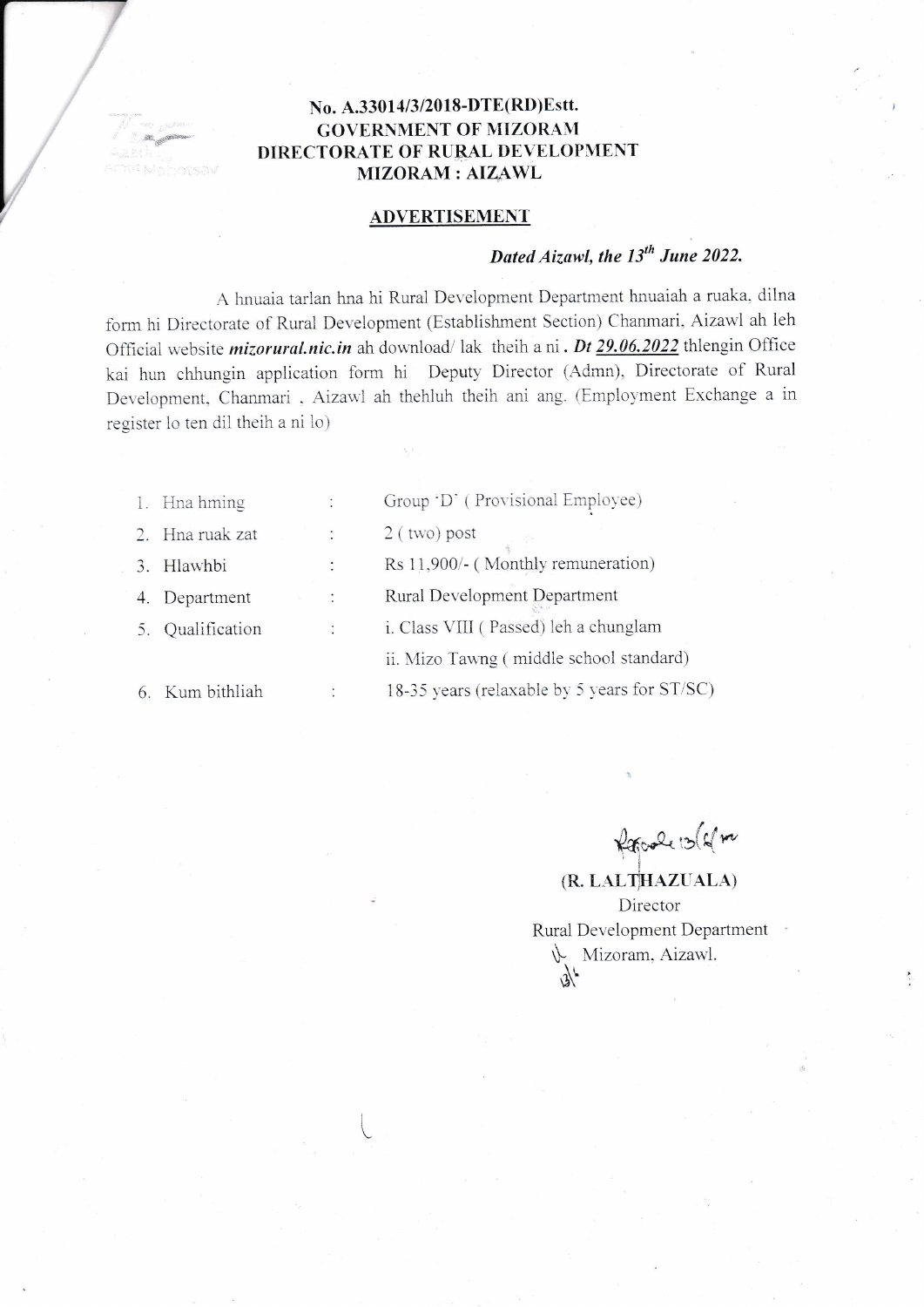### No. A.33014/3/2018-DTE(RD)Estt. **GOVERNMENT OF MIZORAM** DIRECTORATE OF RURAL DEVELOPMENT **MIZORAM: AIZAWL**

### **ADVERTISEMENT**

# Dated Aizawl, the 13<sup>th</sup> June 2022.

A hnuaia tarlan hna hi Rural Development Department hnuaiah a ruaka, dilna form hi Directorate of Rural Development (Establishment Section) Chanmari, Aizawl ah leh Official website *mizorural.nic.in* ah download/lak theih a ni. Dt 29.06.2022 thlengin Office kai hun chhungin application form hi Deputy Director (Admn), Directorate of Rural Development, Chanmari, Aizawl ah thehluh theih ani ang. (Employment Exchange a in register lo ten dil theih a ni lo)

| 1. Hna hming    |                | Group 'D' (Provisional Employee)             |
|-----------------|----------------|----------------------------------------------|
| 2. Hna ruak zat | $\ddot{\cdot}$ | $2$ (two) post                               |
| 3. Hlawhbi      | $\bullet$      | Rs 11,900/- (Monthly remuneration)           |
| Department      |                | Rural Development Department                 |
| Qualification   |                | i. Class VIII (Passed) leh a chunglam        |
|                 |                | ii. Mizo Tawng (middle school standard)      |
| 6. Kum bithliah |                | 18-35 years (relaxable by 5 years for ST/SC) |

Report 13 ( sm

(R. LALTHAZUALA) Director Rural Development Department Mizoram, Aizawl.  $\mathbb{R}^k$